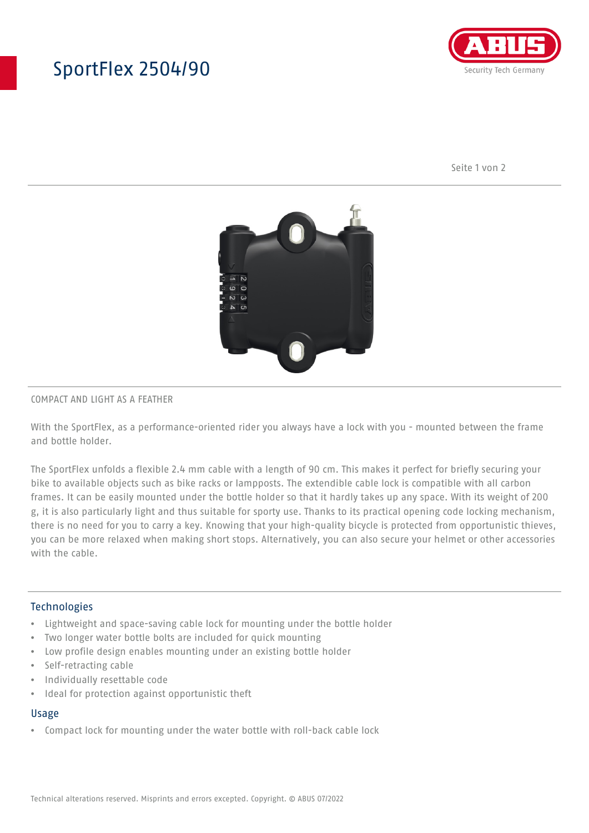# SportFlex 2504/90



Seite 1 von 2



### COMPACT AND LIGHT AS A FEATHER

With the SportFlex, as a performance-oriented rider you always have a lock with you - mounted between the frame and bottle holder.

The SportFlex unfolds a flexible 2.4 mm cable with a length of 90 cm. This makes it perfect for briefly securing your bike to available objects such as bike racks or lampposts. The extendible cable lock is compatible with all carbon frames. It can be easily mounted under the bottle holder so that it hardly takes up any space. With its weight of 200 g, it is also particularly light and thus suitable for sporty use. Thanks to its practical opening code locking mechanism, there is no need for you to carry a key. Knowing that your high-quality bicycle is protected from opportunistic thieves, you can be more relaxed when making short stops. Alternatively, you can also secure your helmet or other accessories with the cable.

### Technologies

- Lightweight and space-saving cable lock for mounting under the bottle holder
- Two longer water bottle bolts are included for quick mounting
- Low profile design enables mounting under an existing bottle holder
- Self-retracting cable
- Individually resettable code
- Ideal for protection against opportunistic theft

#### Usage

• Compact lock for mounting under the water bottle with roll-back cable lock